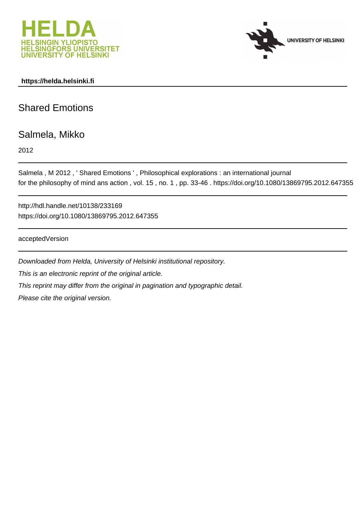



## **https://helda.helsinki.fi**

# Shared Emotions

# Salmela, Mikko

2012

Salmela , M 2012 , ' Shared Emotions ' , Philosophical explorations : an international journal for the philosophy of mind ans action , vol. 15 , no. 1 , pp. 33-46 . https://doi.org/10.1080/13869795.2012.647355

http://hdl.handle.net/10138/233169 https://doi.org/10.1080/13869795.2012.647355

acceptedVersion

Downloaded from Helda, University of Helsinki institutional repository. This is an electronic reprint of the original article. This reprint may differ from the original in pagination and typographic detail. Please cite the original version.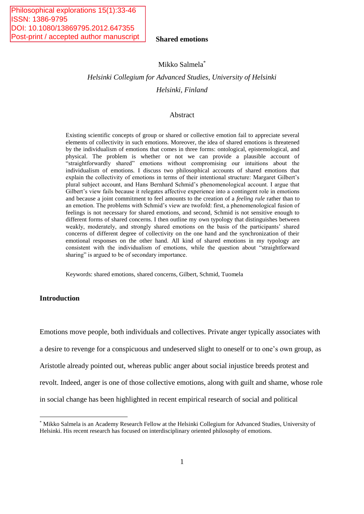#### **Shared emotions**

## Mikko Salmela\*

# *Helsinki Collegium for Advanced Studies, University of Helsinki Helsinki, Finland*

#### Abstract

Existing scientific concepts of group or shared or collective emotion fail to appreciate several elements of collectivity in such emotions. Moreover, the idea of shared emotions is threatened by the individualism of emotions that comes in three forms: ontological, epistemological, and physical. The problem is whether or not we can provide a plausible account of "straightforwardly shared" emotions without compromising our intuitions about the individualism of emotions. I discuss two philosophical accounts of shared emotions that explain the collectivity of emotions in terms of their intentional structure: Margaret Gilbert's plural subject account, and Hans Bernhard Schmid's phenomenological account. I argue that Gilbert's view fails because it relegates affective experience into a contingent role in emotions and because a joint commitment to feel amounts to the creation of a *feeling rule* rather than to an emotion. The problems with Schmid's view are twofold: first, a phenomenological fusion of feelings is not necessary for shared emotions, and second, Schmid is not sensitive enough to different forms of shared concerns. I then outline my own typology that distinguishes between weakly, moderately, and strongly shared emotions on the basis of the participants' shared concerns of different degree of collectivity on the one hand and the synchronization of their emotional responses on the other hand. All kind of shared emotions in my typology are consistent with the individualism of emotions, while the question about "straightforward sharing" is argued to be of secondary importance.

Keywords: shared emotions, shared concerns, Gilbert, Schmid, Tuomela

### **Introduction**

 $\overline{a}$ 

Emotions move people, both individuals and collectives. Private anger typically associates with a desire to revenge for a conspicuous and undeserved slight to oneself or to one's own group, as Aristotle already pointed out, whereas public anger about social injustice breeds protest and revolt. Indeed, anger is one of those collective emotions, along with guilt and shame, whose role in social change has been highlighted in recent empirical research of social and political

<sup>\*</sup> Mikko Salmela is an Academy Research Fellow at the Helsinki Collegium for Advanced Studies, University of Helsinki. His recent research has focused on interdisciplinary oriented philosophy of emotions.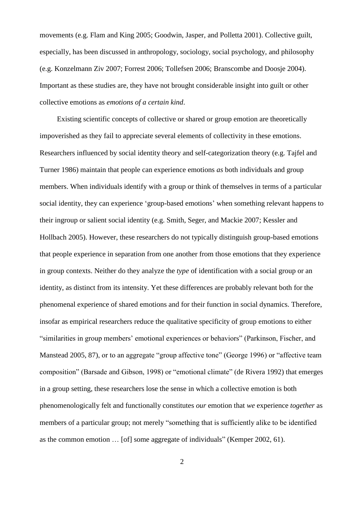movements (e.g. Flam and King 2005; Goodwin, Jasper, and Polletta 2001). Collective guilt, especially, has been discussed in anthropology, sociology, social psychology, and philosophy (e.g. Konzelmann Ziv 2007; Forrest 2006; Tollefsen 2006; Branscombe and Doosje 2004). Important as these studies are, they have not brought considerable insight into guilt or other collective emotions as *emotions of a certain kind*.

Existing scientific concepts of collective or shared or group emotion are theoretically impoverished as they fail to appreciate several elements of collectivity in these emotions. Researchers influenced by social identity theory and self-categorization theory (e.g. Tajfel and Turner 1986) maintain that people can experience emotions *as* both individuals and group members. When individuals identify with a group or think of themselves in terms of a particular social identity, they can experience 'group-based emotions' when something relevant happens to their ingroup or salient social identity (e.g. Smith, Seger, and Mackie 2007; Kessler and Hollbach 2005). However, these researchers do not typically distinguish group-based emotions that people experience in separation from one another from those emotions that they experience in group contexts. Neither do they analyze the *type* of identification with a social group or an identity, as distinct from its intensity. Yet these differences are probably relevant both for the phenomenal experience of shared emotions and for their function in social dynamics. Therefore, insofar as empirical researchers reduce the qualitative specificity of group emotions to either "similarities in group members' emotional experiences or behaviors" (Parkinson, Fischer, and Manstead 2005, 87), or to an aggregate "group affective tone" (George 1996) or "affective team composition" (Barsade and Gibson, 1998) or "emotional climate" (de Rivera 1992) that emerges in a group setting, these researchers lose the sense in which a collective emotion is both phenomenologically felt and functionally constitutes *our* emotion that *we* experience *together* as members of a particular group; not merely "something that is sufficiently alike to be identified as the common emotion … [of] some aggregate of individuals" (Kemper 2002, 61).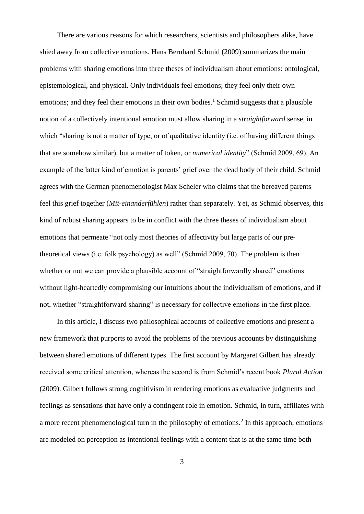There are various reasons for which researchers, scientists and philosophers alike, have shied away from collective emotions. Hans Bernhard Schmid (2009) summarizes the main problems with sharing emotions into three theses of individualism about emotions: ontological, epistemological, and physical. Only individuals feel emotions; they feel only their own emotions; and they feel their emotions in their own bodies.<sup>1</sup> Schmid suggests that a plausible notion of a collectively intentional emotion must allow sharing in a *straightforward* sense, in which "sharing is not a matter of type, or of qualitative identity (i.e. of having different things that are somehow similar), but a matter of token, or *numerical identity*" (Schmid 2009, 69). An example of the latter kind of emotion is parents' grief over the dead body of their child. Schmid agrees with the German phenomenologist Max Scheler who claims that the bereaved parents feel this grief together (*Mit-einanderfühlen*) rather than separately. Yet, as Schmid observes, this kind of robust sharing appears to be in conflict with the three theses of individualism about emotions that permeate "not only most theories of affectivity but large parts of our pretheoretical views (i.e. folk psychology) as well" (Schmid 2009, 70). The problem is then whether or not we can provide a plausible account of "straightforwardly shared" emotions without light-heartedly compromising our intuitions about the individualism of emotions, and if not, whether "straightforward sharing" is necessary for collective emotions in the first place.

In this article, I discuss two philosophical accounts of collective emotions and present a new framework that purports to avoid the problems of the previous accounts by distinguishing between shared emotions of different types. The first account by Margaret Gilbert has already received some critical attention, whereas the second is from Schmid's recent book *Plural Action*  (2009). Gilbert follows strong cognitivism in rendering emotions as evaluative judgments and feelings as sensations that have only a contingent role in emotion. Schmid, in turn, affiliates with a more recent phenomenological turn in the philosophy of emotions.<sup>2</sup> In this approach, emotions are modeled on perception as intentional feelings with a content that is at the same time both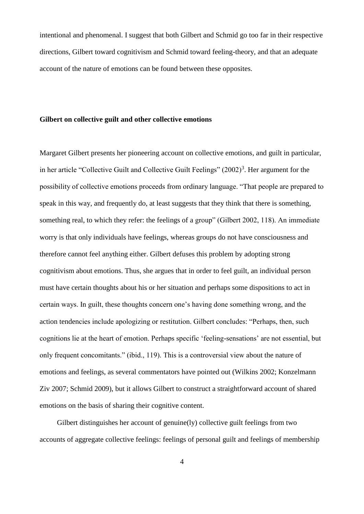intentional and phenomenal. I suggest that both Gilbert and Schmid go too far in their respective directions, Gilbert toward cognitivism and Schmid toward feeling-theory, and that an adequate account of the nature of emotions can be found between these opposites.

## **Gilbert on collective guilt and other collective emotions**

Margaret Gilbert presents her pioneering account on collective emotions, and guilt in particular, in her article "Collective Guilt and Collective Guilt Feelings" (2002)<sup>3</sup>. Her argument for the possibility of collective emotions proceeds from ordinary language. "That people are prepared to speak in this way, and frequently do, at least suggests that they think that there is something, something real, to which they refer: the feelings of a group" (Gilbert 2002, 118). An immediate worry is that only individuals have feelings, whereas groups do not have consciousness and therefore cannot feel anything either. Gilbert defuses this problem by adopting strong cognitivism about emotions. Thus, she argues that in order to feel guilt, an individual person must have certain thoughts about his or her situation and perhaps some dispositions to act in certain ways. In guilt, these thoughts concern one's having done something wrong, and the action tendencies include apologizing or restitution. Gilbert concludes: "Perhaps, then, such cognitions lie at the heart of emotion. Perhaps specific 'feeling-sensations' are not essential, but only frequent concomitants." (ibid., 119). This is a controversial view about the nature of emotions and feelings, as several commentators have pointed out (Wilkins 2002; Konzelmann Ziv 2007; Schmid 2009), but it allows Gilbert to construct a straightforward account of shared emotions on the basis of sharing their cognitive content.

Gilbert distinguishes her account of genuine(ly) collective guilt feelings from two accounts of aggregate collective feelings: feelings of personal guilt and feelings of membership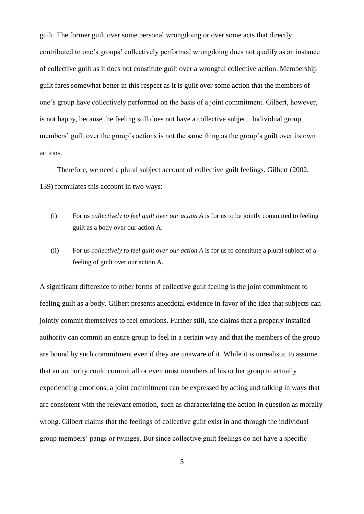guilt. The former guilt over some personal wrongdoing or over some acts that directly contributed to one's groups' collectively performed wrongdoing does not qualify as an instance of collective guilt as it does not constitute guilt over a wrongful collective action. Membership guilt fares somewhat better in this respect as it is guilt over some action that the members of one's group have collectively performed on the basis of a joint commitment. Gilbert, however, is not happy, because the feeling still does not have a collective subject. Individual group members' guilt over the group's actions is not the same thing as the group's guilt over its own actions.

Therefore, we need a plural subject account of collective guilt feelings. Gilbert (2002, 139) formulates this account in two ways:

- (i) For us *collectively to feel guilt over our action A* is for us to be jointly committed to feeling guilt as a body over our action A.
- (ii) For us *collectively to feel guilt over our action A* is for us to constitute a plural subject of a feeling of guilt over our action A.

A significant difference to other forms of collective guilt feeling is the joint commitment to feeling guilt as a body. Gilbert presents anecdotal evidence in favor of the idea that subjects can jointly commit themselves to feel emotions. Further still, she claims that a properly installed authority can commit an entire group to feel in a certain way and that the members of the group are bound by such commitment even if they are unaware of it. While it is unrealistic to assume that an authority could commit all or even most members of his or her group to actually experiencing emotions, a joint commitment can be expressed by acting and talking in ways that are consistent with the relevant emotion, such as characterizing the action in question as morally wrong. Gilbert claims that the feelings of collective guilt exist in and through the individual group members' pangs or twinges. But since collective guilt feelings do not have a specific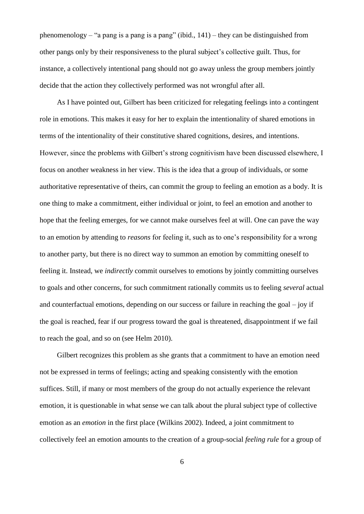phenomenology – "a pang is a pang is a pang" (ibid.,  $141$ ) – they can be distinguished from other pangs only by their responsiveness to the plural subject's collective guilt. Thus, for instance, a collectively intentional pang should not go away unless the group members jointly decide that the action they collectively performed was not wrongful after all.

As I have pointed out, Gilbert has been criticized for relegating feelings into a contingent role in emotions. This makes it easy for her to explain the intentionality of shared emotions in terms of the intentionality of their constitutive shared cognitions, desires, and intentions. However, since the problems with Gilbert's strong cognitivism have been discussed elsewhere, I focus on another weakness in her view. This is the idea that a group of individuals, or some authoritative representative of theirs, can commit the group to feeling an emotion as a body. It is one thing to make a commitment, either individual or joint, to feel an emotion and another to hope that the feeling emerges, for we cannot make ourselves feel at will. One can pave the way to an emotion by attending to *reasons* for feeling it, such as to one's responsibility for a wrong to another party, but there is no direct way to summon an emotion by committing oneself to feeling it. Instead, we *indirectly* commit ourselves to emotions by jointly committing ourselves to goals and other concerns, for such commitment rationally commits us to feeling *several* actual and counterfactual emotions, depending on our success or failure in reaching the goal – joy if the goal is reached, fear if our progress toward the goal is threatened, disappointment if we fail to reach the goal, and so on (see Helm 2010).

Gilbert recognizes this problem as she grants that a commitment to have an emotion need not be expressed in terms of feelings; acting and speaking consistently with the emotion suffices. Still, if many or most members of the group do not actually experience the relevant emotion, it is questionable in what sense we can talk about the plural subject type of collective emotion as an *emotion* in the first place (Wilkins 2002). Indeed, a joint commitment to collectively feel an emotion amounts to the creation of a group-social *feeling rule* for a group of

6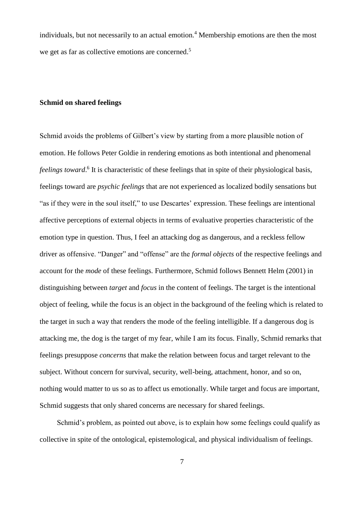individuals, but not necessarily to an actual emotion.<sup>4</sup> Membership emotions are then the most we get as far as collective emotions are concerned.<sup>5</sup>

### **Schmid on shared feelings**

Schmid avoids the problems of Gilbert's view by starting from a more plausible notion of emotion. He follows Peter Goldie in rendering emotions as both intentional and phenomenal feelings toward.<sup>6</sup> It is characteristic of these feelings that in spite of their physiological basis, feelings toward are *psychic feelings* that are not experienced as localized bodily sensations but "as if they were in the soul itself," to use Descartes' expression. These feelings are intentional affective perceptions of external objects in terms of evaluative properties characteristic of the emotion type in question. Thus, I feel an attacking dog as dangerous, and a reckless fellow driver as offensive. "Danger" and "offense" are the *formal objects* of the respective feelings and account for the *mode* of these feelings. Furthermore, Schmid follows Bennett Helm (2001) in distinguishing between *target* and *focus* in the content of feelings. The target is the intentional object of feeling, while the focus is an object in the background of the feeling which is related to the target in such a way that renders the mode of the feeling intelligible. If a dangerous dog is attacking me, the dog is the target of my fear, while I am its focus. Finally, Schmid remarks that feelings presuppose *concerns* that make the relation between focus and target relevant to the subject. Without concern for survival, security, well-being, attachment, honor, and so on, nothing would matter to us so as to affect us emotionally. While target and focus are important, Schmid suggests that only shared concerns are necessary for shared feelings.

Schmid's problem, as pointed out above, is to explain how some feelings could qualify as collective in spite of the ontological, epistemological, and physical individualism of feelings.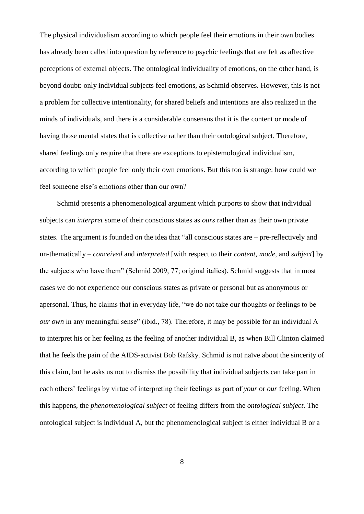The physical individualism according to which people feel their emotions in their own bodies has already been called into question by reference to psychic feelings that are felt as affective perceptions of external objects. The ontological individuality of emotions, on the other hand, is beyond doubt: only individual subjects feel emotions, as Schmid observes. However, this is not a problem for collective intentionality, for shared beliefs and intentions are also realized in the minds of individuals, and there is a considerable consensus that it is the content or mode of having those mental states that is collective rather than their ontological subject. Therefore, shared feelings only require that there are exceptions to epistemological individualism, according to which people feel only their own emotions. But this too is strange: how could we feel someone else's emotions other than our own?

Schmid presents a phenomenological argument which purports to show that individual subjects can *interpret* some of their conscious states as *ours* rather than as their own private states. The argument is founded on the idea that "all conscious states are – pre-reflectively and un-thematically – *conceived* and *interpreted* [with respect to their *content*, *mode*, and *subject*] by the subjects who have them" (Schmid 2009, 77; original italics). Schmid suggests that in most cases we do not experience our conscious states as private or personal but as anonymous or apersonal. Thus, he claims that in everyday life, "we do not take our thoughts or feelings to be *our own* in any meaningful sense" (ibid., 78). Therefore, it may be possible for an individual A to interpret his or her feeling as the feeling of another individual B, as when Bill Clinton claimed that he feels the pain of the AIDS-activist Bob Rafsky. Schmid is not naïve about the sincerity of this claim, but he asks us not to dismiss the possibility that individual subjects can take part in each others' feelings by virtue of interpreting their feelings as part of *your* or *our* feeling. When this happens, the *phenomenological subject* of feeling differs from the *ontological subject*. The ontological subject is individual A, but the phenomenological subject is either individual B or a

8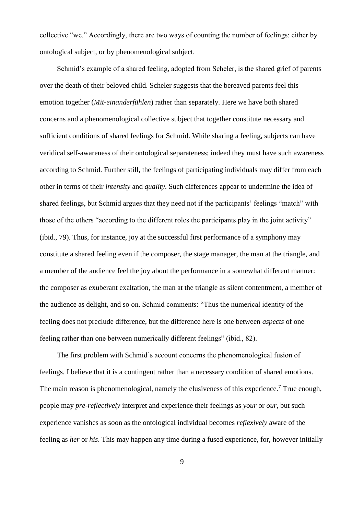collective "we." Accordingly, there are two ways of counting the number of feelings: either by ontological subject, or by phenomenological subject.

Schmid's example of a shared feeling, adopted from Scheler, is the shared grief of parents over the death of their beloved child. Scheler suggests that the bereaved parents feel this emotion together (*Mit-einanderfühlen*) rather than separately. Here we have both shared concerns and a phenomenological collective subject that together constitute necessary and sufficient conditions of shared feelings for Schmid. While sharing a feeling, subjects can have veridical self-awareness of their ontological separateness; indeed they must have such awareness according to Schmid. Further still, the feelings of participating individuals may differ from each other in terms of their *intensity* and *quality*. Such differences appear to undermine the idea of shared feelings, but Schmid argues that they need not if the participants' feelings "match" with those of the others "according to the different roles the participants play in the joint activity" (ibid., 79). Thus, for instance, joy at the successful first performance of a symphony may constitute a shared feeling even if the composer, the stage manager, the man at the triangle, and a member of the audience feel the joy about the performance in a somewhat different manner: the composer as exuberant exaltation, the man at the triangle as silent contentment, a member of the audience as delight, and so on. Schmid comments: "Thus the numerical identity of the feeling does not preclude difference, but the difference here is one between *aspects* of one feeling rather than one between numerically different feelings" (ibid., 82).

The first problem with Schmid's account concerns the phenomenological fusion of feelings. I believe that it is a contingent rather than a necessary condition of shared emotions. The main reason is phenomenological, namely the elusiveness of this experience.<sup>7</sup> True enough, people may *pre-reflectively* interpret and experience their feelings as *your* or *our*, but such experience vanishes as soon as the ontological individual becomes *reflexively* aware of the feeling as *her* or *his*. This may happen any time during a fused experience, for, however initially

9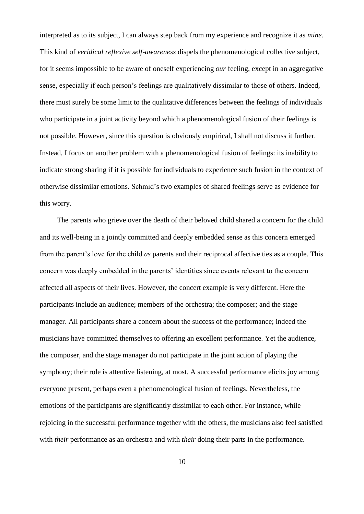interpreted as to its subject, I can always step back from my experience and recognize it as *mine*. This kind of *veridical reflexive self-awareness* dispels the phenomenological collective subject, for it seems impossible to be aware of oneself experiencing *our* feeling, except in an aggregative sense, especially if each person's feelings are qualitatively dissimilar to those of others. Indeed, there must surely be some limit to the qualitative differences between the feelings of individuals who participate in a joint activity beyond which a phenomenological fusion of their feelings is not possible. However, since this question is obviously empirical, I shall not discuss it further. Instead, I focus on another problem with a phenomenological fusion of feelings: its inability to indicate strong sharing if it is possible for individuals to experience such fusion in the context of otherwise dissimilar emotions. Schmid's two examples of shared feelings serve as evidence for this worry.

The parents who grieve over the death of their beloved child shared a concern for the child and its well-being in a jointly committed and deeply embedded sense as this concern emerged from the parent's love for the child *as* parents and their reciprocal affective ties as a couple. This concern was deeply embedded in the parents' identities since events relevant to the concern affected all aspects of their lives. However, the concert example is very different. Here the participants include an audience; members of the orchestra; the composer; and the stage manager. All participants share a concern about the success of the performance; indeed the musicians have committed themselves to offering an excellent performance. Yet the audience, the composer, and the stage manager do not participate in the joint action of playing the symphony; their role is attentive listening, at most. A successful performance elicits joy among everyone present, perhaps even a phenomenological fusion of feelings. Nevertheless, the emotions of the participants are significantly dissimilar to each other. For instance, while rejoicing in the successful performance together with the others, the musicians also feel satisfied with *their* performance as an orchestra and with *their* doing their parts in the performance.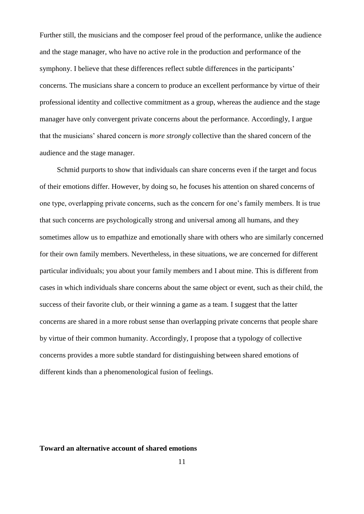Further still, the musicians and the composer feel proud of the performance, unlike the audience and the stage manager, who have no active role in the production and performance of the symphony. I believe that these differences reflect subtle differences in the participants' concerns. The musicians share a concern to produce an excellent performance by virtue of their professional identity and collective commitment as a group, whereas the audience and the stage manager have only convergent private concerns about the performance. Accordingly, I argue that the musicians' shared concern is *more strongly* collective than the shared concern of the audience and the stage manager.

Schmid purports to show that individuals can share concerns even if the target and focus of their emotions differ. However, by doing so, he focuses his attention on shared concerns of one type, overlapping private concerns, such as the concern for one's family members. It is true that such concerns are psychologically strong and universal among all humans, and they sometimes allow us to empathize and emotionally share with others who are similarly concerned for their own family members. Nevertheless, in these situations, we are concerned for different particular individuals; you about your family members and I about mine. This is different from cases in which individuals share concerns about the same object or event, such as their child, the success of their favorite club, or their winning a game as a team. I suggest that the latter concerns are shared in a more robust sense than overlapping private concerns that people share by virtue of their common humanity. Accordingly, I propose that a typology of collective concerns provides a more subtle standard for distinguishing between shared emotions of different kinds than a phenomenological fusion of feelings.

## **Toward an alternative account of shared emotions**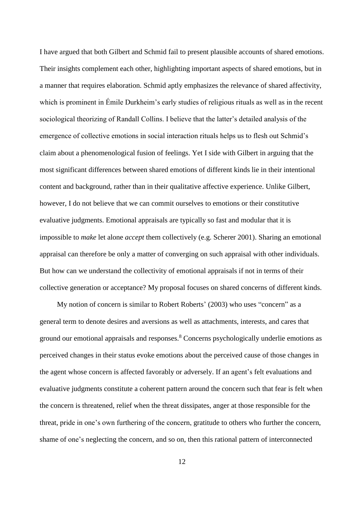I have argued that both Gilbert and Schmid fail to present plausible accounts of shared emotions. Their insights complement each other, highlighting important aspects of shared emotions, but in a manner that requires elaboration. Schmid aptly emphasizes the relevance of shared affectivity, which is prominent in Émile Durkheim's early studies of religious rituals as well as in the recent sociological theorizing of Randall Collins. I believe that the latter's detailed analysis of the emergence of collective emotions in social interaction rituals helps us to flesh out Schmid's claim about a phenomenological fusion of feelings. Yet I side with Gilbert in arguing that the most significant differences between shared emotions of different kinds lie in their intentional content and background, rather than in their qualitative affective experience. Unlike Gilbert, however, I do not believe that we can commit ourselves to emotions or their constitutive evaluative judgments. Emotional appraisals are typically so fast and modular that it is impossible to *make* let alone *accept* them collectively (e.g. Scherer 2001). Sharing an emotional appraisal can therefore be only a matter of converging on such appraisal with other individuals. But how can we understand the collectivity of emotional appraisals if not in terms of their collective generation or acceptance? My proposal focuses on shared concerns of different kinds.

My notion of concern is similar to Robert Roberts' (2003) who uses "concern" as a general term to denote desires and aversions as well as attachments, interests, and cares that ground our emotional appraisals and responses.<sup>8</sup> Concerns psychologically underlie emotions as perceived changes in their status evoke emotions about the perceived cause of those changes in the agent whose concern is affected favorably or adversely. If an agent's felt evaluations and evaluative judgments constitute a coherent pattern around the concern such that fear is felt when the concern is threatened, relief when the threat dissipates, anger at those responsible for the threat, pride in one's own furthering of the concern, gratitude to others who further the concern, shame of one's neglecting the concern, and so on, then this rational pattern of interconnected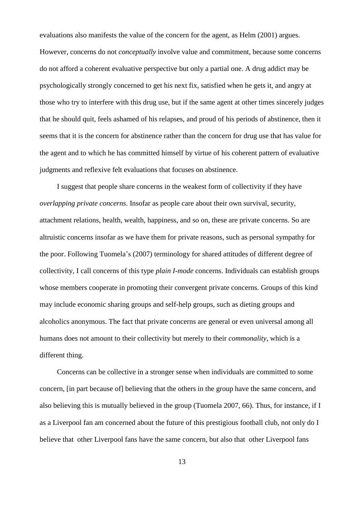evaluations also manifests the value of the concern for the agent, as Helm (2001) argues. However, concerns do not *conceptually* involve value and commitment, because some concerns do not afford a coherent evaluative perspective but only a partial one. A drug addict may be psychologically strongly concerned to get his next fix, satisfied when he gets it, and angry at those who try to interfere with this drug use, but if the same agent at other times sincerely judges that he should quit, feels ashamed of his relapses, and proud of his periods of abstinence, then it seems that it is the concern for abstinence rather than the concern for drug use that has value for the agent and to which he has committed himself by virtue of his coherent pattern of evaluative judgments and reflexive felt evaluations that focuses on abstinence.

I suggest that people share concerns in the weakest form of collectivity if they have *overlapping private concerns*. Insofar as people care about their own survival, security, attachment relations, health, wealth, happiness, and so on, these are private concerns. So are altruistic concerns insofar as we have them for private reasons, such as personal sympathy for the poor. Following Tuomela's (2007) terminology for shared attitudes of different degree of collectivity, I call concerns of this type *plain I-mode* concerns. Individuals can establish groups whose members cooperate in promoting their convergent private concerns. Groups of this kind may include economic sharing groups and self-help groups, such as dieting groups and alcoholics anonymous. The fact that private concerns are general or even universal among all humans does not amount to their collectivity but merely to their *commonality*, which is a different thing.

Concerns can be collective in a stronger sense when individuals are committed to some concern, [in part because of] believing that the others in the group have the same concern, and also believing this is mutually believed in the group (Tuomela 2007, 66). Thus, for instance, if I as a Liverpool fan am concerned about the future of this prestigious football club, not only do I believe that other Liverpool fans have the same concern, but also that other Liverpool fans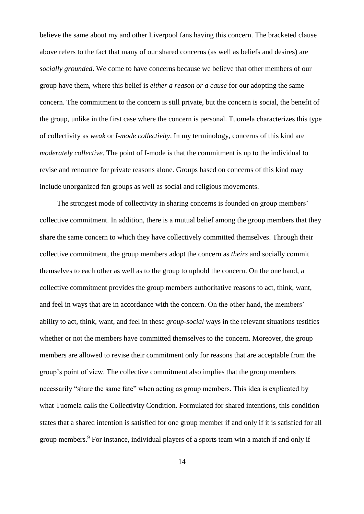believe the same about my and other Liverpool fans having this concern. The bracketed clause above refers to the fact that many of our shared concerns (as well as beliefs and desires) are *socially grounded*. We come to have concerns because we believe that other members of our group have them, where this belief is *either a reason or a cause* for our adopting the same concern. The commitment to the concern is still private, but the concern is social, the benefit of the group, unlike in the first case where the concern is personal. Tuomela characterizes this type of collectivity as *weak* or *I-mode collectivity*. In my terminology, concerns of this kind are *moderately collective*. The point of I-mode is that the commitment is up to the individual to revise and renounce for private reasons alone. Groups based on concerns of this kind may include unorganized fan groups as well as social and religious movements.

The strongest mode of collectivity in sharing concerns is founded on group members' collective commitment. In addition, there is a mutual belief among the group members that they share the same concern to which they have collectively committed themselves. Through their collective commitment, the group members adopt the concern as *theirs* and socially commit themselves to each other as well as to the group to uphold the concern. On the one hand, a collective commitment provides the group members authoritative reasons to act, think, want, and feel in ways that are in accordance with the concern. On the other hand, the members' ability to act, think, want, and feel in these *group-social* ways in the relevant situations testifies whether or not the members have committed themselves to the concern. Moreover, the group members are allowed to revise their commitment only for reasons that are acceptable from the group's point of view. The collective commitment also implies that the group members necessarily "share the same fate" when acting as group members. This idea is explicated by what Tuomela calls the Collectivity Condition. Formulated for shared intentions, this condition states that a shared intention is satisfied for one group member if and only if it is satisfied for all group members.<sup>9</sup> For instance, individual players of a sports team win a match if and only if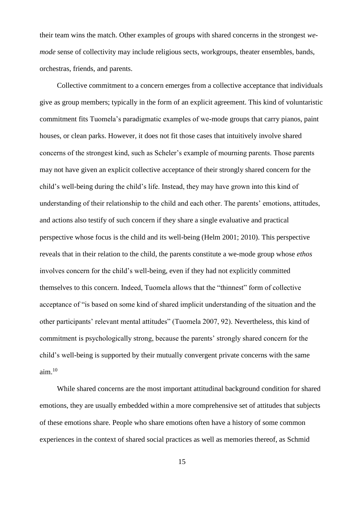their team wins the match. Other examples of groups with shared concerns in the strongest *wemode* sense of collectivity may include religious sects, workgroups, theater ensembles, bands, orchestras, friends, and parents.

Collective commitment to a concern emerges from a collective acceptance that individuals give as group members; typically in the form of an explicit agreement. This kind of voluntaristic commitment fits Tuomela's paradigmatic examples of we-mode groups that carry pianos, paint houses, or clean parks. However, it does not fit those cases that intuitively involve shared concerns of the strongest kind, such as Scheler's example of mourning parents. Those parents may not have given an explicit collective acceptance of their strongly shared concern for the child's well-being during the child's life. Instead, they may have grown into this kind of understanding of their relationship to the child and each other. The parents' emotions, attitudes, and actions also testify of such concern if they share a single evaluative and practical perspective whose focus is the child and its well-being (Helm 2001; 2010). This perspective reveals that in their relation to the child, the parents constitute a we-mode group whose *ethos* involves concern for the child's well-being, even if they had not explicitly committed themselves to this concern. Indeed, Tuomela allows that the "thinnest" form of collective acceptance of "is based on some kind of shared implicit understanding of the situation and the other participants' relevant mental attitudes" (Tuomela 2007, 92). Nevertheless, this kind of commitment is psychologically strong, because the parents' strongly shared concern for the child's well-being is supported by their mutually convergent private concerns with the same  $a$ im. $10$ 

While shared concerns are the most important attitudinal background condition for shared emotions, they are usually embedded within a more comprehensive set of attitudes that subjects of these emotions share. People who share emotions often have a history of some common experiences in the context of shared social practices as well as memories thereof, as Schmid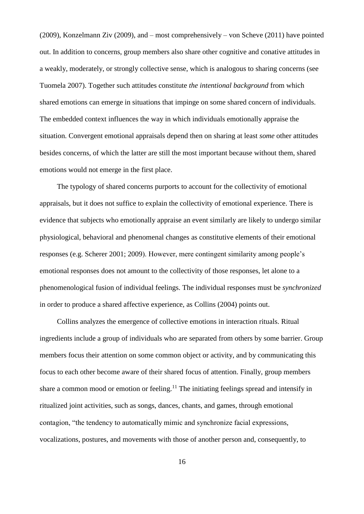(2009), Konzelmann Ziv (2009), and – most comprehensively – von Scheve (2011) have pointed out. In addition to concerns, group members also share other cognitive and conative attitudes in a weakly, moderately, or strongly collective sense, which is analogous to sharing concerns (see Tuomela 2007). Together such attitudes constitute *the intentional background* from which shared emotions can emerge in situations that impinge on some shared concern of individuals. The embedded context influences the way in which individuals emotionally appraise the situation. Convergent emotional appraisals depend then on sharing at least *some* other attitudes besides concerns, of which the latter are still the most important because without them, shared emotions would not emerge in the first place.

The typology of shared concerns purports to account for the collectivity of emotional appraisals, but it does not suffice to explain the collectivity of emotional experience. There is evidence that subjects who emotionally appraise an event similarly are likely to undergo similar physiological, behavioral and phenomenal changes as constitutive elements of their emotional responses (e.g. Scherer 2001; 2009). However, mere contingent similarity among people's emotional responses does not amount to the collectivity of those responses, let alone to a phenomenological fusion of individual feelings. The individual responses must be *synchronized* in order to produce a shared affective experience, as Collins (2004) points out.

Collins analyzes the emergence of collective emotions in interaction rituals. Ritual ingredients include a group of individuals who are separated from others by some barrier. Group members focus their attention on some common object or activity, and by communicating this focus to each other become aware of their shared focus of attention. Finally, group members share a common mood or emotion or feeling.<sup>11</sup> The initiating feelings spread and intensify in ritualized joint activities, such as songs, dances, chants, and games, through emotional contagion, "the tendency to automatically mimic and synchronize facial expressions, vocalizations, postures, and movements with those of another person and, consequently, to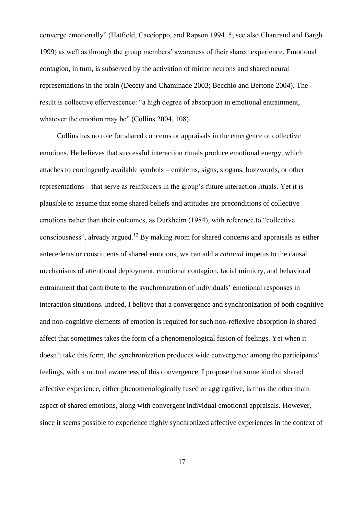converge emotionally" (Hatfield, Caccioppo, and Rapson 1994, 5; see also Chartrand and Bargh 1999) as well as through the group members' awareness of their shared experience. Emotional contagion, in turn, is subserved by the activation of mirror neurons and shared neural representations in the brain (Decety and Chaminade 2003; Becchio and Bertone 2004). The result is collective effervescence: "a high degree of absorption in emotional entrainment, whatever the emotion may be" (Collins 2004, 108).

Collins has no role for shared concerns or appraisals in the emergence of collective emotions. He believes that successful interaction rituals produce emotional energy, which attaches to contingently available symbols – emblems, signs, slogans, buzzwords, or other representations – that serve as reinforcers in the group's future interaction rituals. Yet it is plausible to assume that some shared beliefs and attitudes are preconditions of collective emotions rather than their outcomes, as Durkheim (1984), with reference to "collective consciousness", already argued.<sup>12</sup> By making room for shared concerns and appraisals as either antecedents or constituents of shared emotions, we can add a *rational* impetus to the causal mechanisms of attentional deployment, emotional contagion, facial mimicry, and behavioral entrainment that contribute to the synchronization of individuals' emotional responses in interaction situations. Indeed, I believe that a convergence and synchronization of both cognitive and non-cognitive elements of emotion is required for such non-reflexive absorption in shared affect that sometimes takes the form of a phenomenological fusion of feelings. Yet when it doesn't take this form, the synchronization produces wide convergence among the participants' feelings, with a mutual awareness of this convergence. I propose that some kind of shared affective experience, either phenomenologically fused or aggregative, is thus the other main aspect of shared emotions, along with convergent individual emotional appraisals. However, since it seems possible to experience highly synchronized affective experiences in the context of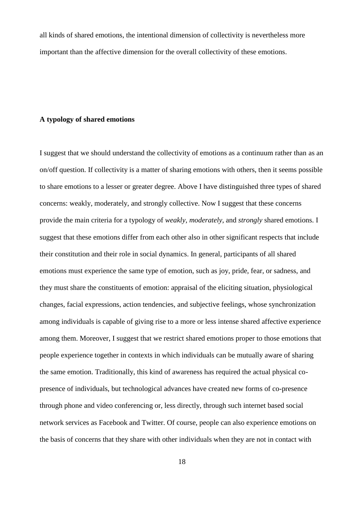all kinds of shared emotions, the intentional dimension of collectivity is nevertheless more important than the affective dimension for the overall collectivity of these emotions.

## **A typology of shared emotions**

I suggest that we should understand the collectivity of emotions as a continuum rather than as an on/off question. If collectivity is a matter of sharing emotions with others, then it seems possible to share emotions to a lesser or greater degree. Above I have distinguished three types of shared concerns: weakly, moderately, and strongly collective. Now I suggest that these concerns provide the main criteria for a typology of *weakly*, *moderately*, and *strongly* shared emotions. I suggest that these emotions differ from each other also in other significant respects that include their constitution and their role in social dynamics. In general, participants of all shared emotions must experience the same type of emotion, such as joy, pride, fear, or sadness, and they must share the constituents of emotion: appraisal of the eliciting situation, physiological changes, facial expressions, action tendencies, and subjective feelings, whose synchronization among individuals is capable of giving rise to a more or less intense shared affective experience among them. Moreover, I suggest that we restrict shared emotions proper to those emotions that people experience together in contexts in which individuals can be mutually aware of sharing the same emotion. Traditionally, this kind of awareness has required the actual physical copresence of individuals, but technological advances have created new forms of co-presence through phone and video conferencing or, less directly, through such internet based social network services as Facebook and Twitter. Of course, people can also experience emotions on the basis of concerns that they share with other individuals when they are not in contact with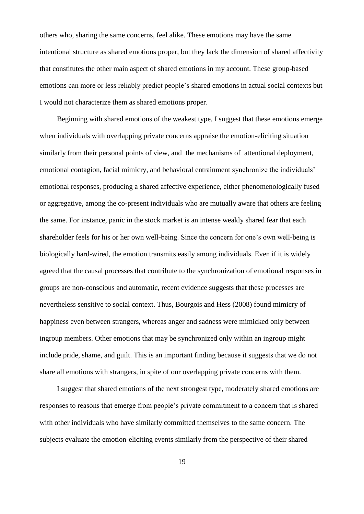others who, sharing the same concerns, feel alike. These emotions may have the same intentional structure as shared emotions proper, but they lack the dimension of shared affectivity that constitutes the other main aspect of shared emotions in my account. These group-based emotions can more or less reliably predict people's shared emotions in actual social contexts but I would not characterize them as shared emotions proper.

Beginning with shared emotions of the weakest type, I suggest that these emotions emerge when individuals with overlapping private concerns appraise the emotion-eliciting situation similarly from their personal points of view, and the mechanisms of attentional deployment, emotional contagion, facial mimicry, and behavioral entrainment synchronize the individuals' emotional responses, producing a shared affective experience, either phenomenologically fused or aggregative, among the co-present individuals who are mutually aware that others are feeling the same. For instance, panic in the stock market is an intense weakly shared fear that each shareholder feels for his or her own well-being. Since the concern for one's own well-being is biologically hard-wired, the emotion transmits easily among individuals. Even if it is widely agreed that the causal processes that contribute to the synchronization of emotional responses in groups are non-conscious and automatic, recent evidence suggests that these processes are nevertheless sensitive to social context. Thus, Bourgois and Hess (2008) found mimicry of happiness even between strangers, whereas anger and sadness were mimicked only between ingroup members. Other emotions that may be synchronized only within an ingroup might include pride, shame, and guilt. This is an important finding because it suggests that we do not share all emotions with strangers, in spite of our overlapping private concerns with them.

I suggest that shared emotions of the next strongest type, moderately shared emotions are responses to reasons that emerge from people's private commitment to a concern that is shared with other individuals who have similarly committed themselves to the same concern. The subjects evaluate the emotion-eliciting events similarly from the perspective of their shared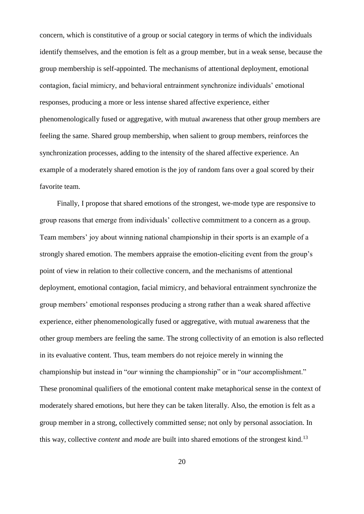concern, which is constitutive of a group or social category in terms of which the individuals identify themselves, and the emotion is felt as a group member, but in a weak sense, because the group membership is self-appointed. The mechanisms of attentional deployment, emotional contagion, facial mimicry, and behavioral entrainment synchronize individuals' emotional responses, producing a more or less intense shared affective experience, either phenomenologically fused or aggregative, with mutual awareness that other group members are feeling the same. Shared group membership, when salient to group members, reinforces the synchronization processes, adding to the intensity of the shared affective experience. An example of a moderately shared emotion is the joy of random fans over a goal scored by their favorite team.

Finally, I propose that shared emotions of the strongest, we-mode type are responsive to group reasons that emerge from individuals' collective commitment to a concern as a group. Team members' joy about winning national championship in their sports is an example of a strongly shared emotion. The members appraise the emotion-eliciting event from the group's point of view in relation to their collective concern, and the mechanisms of attentional deployment, emotional contagion, facial mimicry, and behavioral entrainment synchronize the group members' emotional responses producing a strong rather than a weak shared affective experience, either phenomenologically fused or aggregative, with mutual awareness that the other group members are feeling the same. The strong collectivity of an emotion is also reflected in its evaluative content. Thus, team members do not rejoice merely in winning the championship but instead in "*our* winning the championship" or in "*our* accomplishment." These pronominal qualifiers of the emotional content make metaphorical sense in the context of moderately shared emotions, but here they can be taken literally. Also, the emotion is felt as a group member in a strong, collectively committed sense; not only by personal association. In this way, collective *content* and *mode* are built into shared emotions of the strongest kind.<sup>13</sup>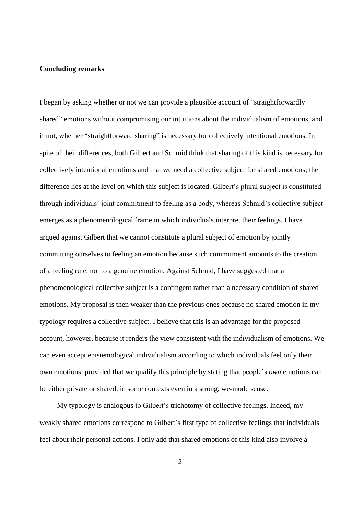### **Concluding remarks**

I began by asking whether or not we can provide a plausible account of "straightforwardly shared" emotions without compromising our intuitions about the individualism of emotions, and if not, whether "straightforward sharing" is necessary for collectively intentional emotions. In spite of their differences, both Gilbert and Schmid think that sharing of this kind is necessary for collectively intentional emotions and that we need a collective subject for shared emotions; the difference lies at the level on which this subject is located. Gilbert's plural subject is constituted through individuals' joint commitment to feeling as a body, whereas Schmid's collective subject emerges as a phenomenological frame in which individuals interpret their feelings. I have argued against Gilbert that we cannot constitute a plural subject of emotion by jointly committing ourselves to feeling an emotion because such commitment amounts to the creation of a feeling rule, not to a genuine emotion. Against Schmid, I have suggested that a phenomenological collective subject is a contingent rather than a necessary condition of shared emotions. My proposal is then weaker than the previous ones because no shared emotion in my typology requires a collective subject. I believe that this is an advantage for the proposed account, however, because it renders the view consistent with the individualism of emotions. We can even accept epistemological individualism according to which individuals feel only their own emotions, provided that we qualify this principle by stating that people's *own* emotions can be either private or shared, in some contexts even in a strong, we-mode sense.

My typology is analogous to Gilbert's trichotomy of collective feelings. Indeed, my weakly shared emotions correspond to Gilbert's first type of collective feelings that individuals feel about their personal actions. I only add that shared emotions of this kind also involve a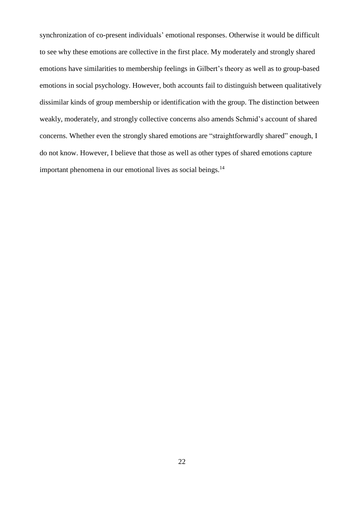synchronization of co-present individuals' emotional responses. Otherwise it would be difficult to see why these emotions are collective in the first place. My moderately and strongly shared emotions have similarities to membership feelings in Gilbert's theory as well as to group-based emotions in social psychology. However, both accounts fail to distinguish between qualitatively dissimilar kinds of group membership or identification with the group. The distinction between weakly, moderately, and strongly collective concerns also amends Schmid's account of shared concerns. Whether even the strongly shared emotions are "straightforwardly shared" enough, I do not know. However, I believe that those as well as other types of shared emotions capture important phenomena in our emotional lives as social beings.<sup>14</sup>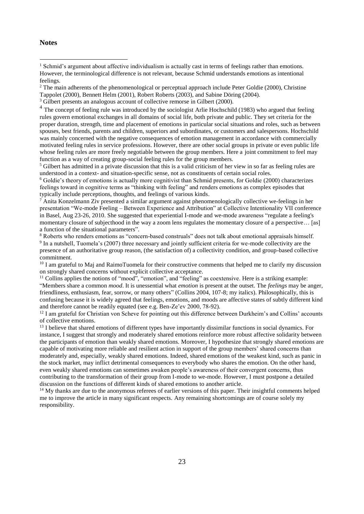### **Notes**

 $\overline{a}$ 

<sup>2</sup> The main adherents of the phenomenological or perceptual approach include Peter Goldie (2000), Christine Tappolet (2000), Bennett Helm (2001), Robert Roberts (2003), and Sabine Döring (2004).

 $4$  The concept of feeling rule was introduced by the sociologist Arlie Hochschild (1983) who argued that feeling rules govern emotional exchanges in all domains of social life, both private and public. They set criteria for the proper duration, strength, time and placement of emotions in particular social situations and roles, such as between spouses, best friends, parents and children, superiors and subordinates, or customers and salespersons. Hochschild was mainly concerned with the negative consequences of emotion management in accordance with commercially motivated feeling rules in service professions. However, there are other social groups in private or even public life whose feeling rules are more freely negotiable between the group members. Here a joint commitment to feel may function as a way of creating group-social feeling rules for the group members.

 $<sup>5</sup>$  Gilbert has admitted in a private discussion that this is a valid criticism of her view in so far as feeling rules are</sup> understood in a context- and situation-specific sense, not as constituents of certain social roles.

<sup>6</sup> Goldie's theory of emotions is actually more cognitivist than Schmid presents, for Goldie (2000) characterizes feelings toward in cognitive terms as "thinking with feeling" and renders emotions as complex episodes that typically include perceptions, thoughts, and feelings of various kinds.

 $^7$  Anita Konzelmann Ziv presented a similar argument against phenomenologically collective we-feelings in her presentation "We-mode Feeling – Between Experience and Attribution" at Collective Intentionality VII conference in Basel, Aug 23-26, 2010. She suggested that experiential I-mode and we-mode awareness "regulate a feeling's momentary closure of subjecthood in the way a zoom lens regulates the momentary closure of a perspective... [as] a function of the situational parameters".

<sup>8</sup> Roberts who renders emotions as "concern-based construals" does not talk about emotional appraisals himself. 9 In a nutshell, Tuomela's (2007) three necessary and jointly sufficient criteria for we-mode collectivity are the presence of an authoritative group reason, (the satisfaction of) a collectivity condition, and group-based collective commitment.

<sup>10</sup> I am grateful to Maj and RaimoTuomela for their constructive comments that helped me to clarify my discussion on strongly shared concerns without explicit collective acceptance.

<sup>11</sup> Collins applies the notions of "mood", "emotion", and "feeling" as coextensive. Here is a striking example: "Members share a common *mood*. It is unessential what *emotion* is present at the outset. The *feelings* may be anger, friendliness, enthusiasm, fear, sorrow, or many others" (Collins 2004, 107-8; my italics). Philosophically, this is confusing because it is widely agreed that feelings, emotions, and moods are affective states of subtly different kind and therefore cannot be readily equated (see e.g. Ben-Ze'ev 2000, 78-92).

 $12$  I am grateful for Christian von Scheve for pointing out this difference between Durkheim's and Collins' accounts of collective emotions.

<sup>13</sup> I believe that shared emotions of different types have importantly dissimilar functions in social dynamics. For instance, I suggest that strongly and moderately shared emotions reinforce more robust affective solidarity between the participants of emotion than weakly shared emotions. Moreover, I hypothesize that strongly shared emotions are capable of motivating more reliable and resilient action in support of the group members' shared concerns than moderately and, especially, weakly shared emotions. Indeed, shared emotions of the weakest kind, such as panic in the stock market, may inflict detrimental consequences to everybody who shares the emotion. On the other hand, even weakly shared emotions can sometimes awaken people's awareness of their convergent concerns, thus contributing to the transformation of their group from I-mode to we-mode. However, I must postpone a detailed discussion on the functions of different kinds of shared emotions to another article.

<sup>14</sup> My thanks are due to the anonymous referees of earlier versions of this paper. Their insightful comments helped me to improve the article in many significant respects. Any remaining shortcomings are of course solely my responsibility.

<sup>&</sup>lt;sup>1</sup> Schmid's argument about affective individualism is actually cast in terms of feelings rather than emotions. However, the terminological difference is not relevant, because Schmid understands emotions as intentional feelings.

<sup>&</sup>lt;sup>3</sup> Gilbert presents an analogous account of collective remorse in Gilbert (2000).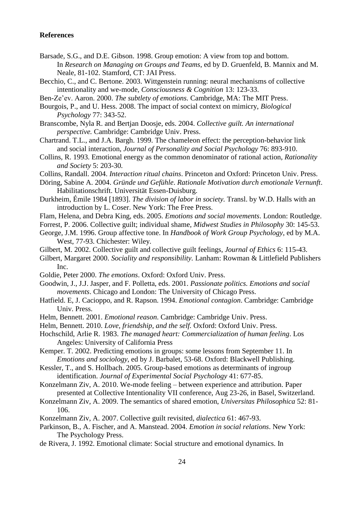#### **References**

- Barsade, S.G., and D.E. Gibson. 1998. Group emotion: A view from top and bottom. In *Research on Managing on Groups and Teams*, ed by D. Gruenfeld, B. Mannix and M. Neale, 81-102. Stamford, CT: JAI Press.
- Becchio, C., and C. Bertone. 2003. Wittgenstein running: neural mechanisms of collective intentionality and we-mode, *Consciousness & Cognition* 13: 123-33.
- Ben-Ze'ev. Aaron. 2000. *The subtlety of emotions.* Cambridge, MA: The MIT Press.
- Bourgois, P., and U. Hess. 2008. The impact of social context on mimicry, *Biological Psychology* 77: 343-52.
- Branscombe, Nyla R. and Bertjan Doosje, eds. 2004. *Collective guilt. An international perspective.* Cambridge: Cambridge Univ. Press.
- Chartrand. T.L., and J.A. Bargh. 1999. The chameleon effect: the perception-behavior link and social interaction, *Journal of Personality and Social Psychology* 76: 893-910.
- Collins, R. 1993. Emotional energy as the common denominator of rational action, *Rationality and Society* 5: 203-30*.*
- Collins, Randall. 2004. *Interaction ritual chains*. Princeton and Oxford: Princeton Univ. Press.
- Döring, Sabine A. 2004. *Gründe und Gefühle*. *Rationale Motivation durch emotionale Vernunft*. Habilitationschrift. Universität Essen-Duisburg.
- Durkheim, Émile 1984 [1893]. *The division of labor in society.* Transl. by W.D. Halls with an introduction by L. Coser. New York: The Free Press.
- Flam, Helena, and Debra King, eds. 2005. *Emotions and social movements*. London: Routledge.
- Forrest, P. 2006. Collective guilt; individual shame, *Midwest Studies in Philosophy* 30: 145-53.
- George, J.M. 1996. Group affective tone. In *Handbook of Work Group Psychology*, ed by M.A. West, 77-93. Chichester: Wiley.
- Gilbert, M. 2002. Collective guilt and collective guilt feelings, *Journal of Ethics* 6: 115-43.
- Gilbert, Margaret 2000. *Sociality and responsibility.* Lanham: Rowman & Littlefield Publishers Inc.
- Goldie, Peter 2000. *The emotions*. Oxford: Oxford Univ. Press.
- Goodwin, J., J.J. Jasper, and F. Polletta, eds. 2001. *Passionate politics. Emotions and social movements*. Chicago and London: The University of Chicago Press.
- Hatfield. E, J. Cacioppo, and R. Rapson. 1994. *Emotional contagion*. Cambridge: Cambridge Univ. Press.
- Helm, Bennett. 2001. *Emotional reason*. Cambridge: Cambridge Univ. Press.
- Helm, Bennett. 2010. *Love, friendship, and the self.* Oxford: Oxford Univ. Press.
- Hochschild, Arlie R. 1983. *The managed heart: Commercialization of human feeling*. Los Angeles: University of California Press
- Kemper. T. 2002. Predicting emotions in groups: some lessons from September 11. In *Emotions and sociology*, ed by J. Barbalet, 53-68. Oxford: Blackwell Publishing.
- Kessler, T., and S. Hollbach. 2005. Group-based emotions as determinants of ingroup identification. *Journal of Experimental Social Psychology* 41: 677-85.
- Konzelmann Ziv, A. 2010. We-mode feeling between experience and attribution. Paper presented at Collective Intentionality VII conference, Aug 23-26, in Basel, Switzerland.
- Konzelmann Ziv, A. 2009. The semantics of shared emotion, *Universitas Philosophica* 52: 81- 106.
- Konzelmann Ziv, A. 2007. Collective guilt revisited, *dialectica* 61: 467-93.
- Parkinson, B., A. Fischer, and A. Manstead. 2004. *Emotion in social relations*. New York: The Psychology Press.
- de Rivera, J. 1992. Emotional climate: Social structure and emotional dynamics. In